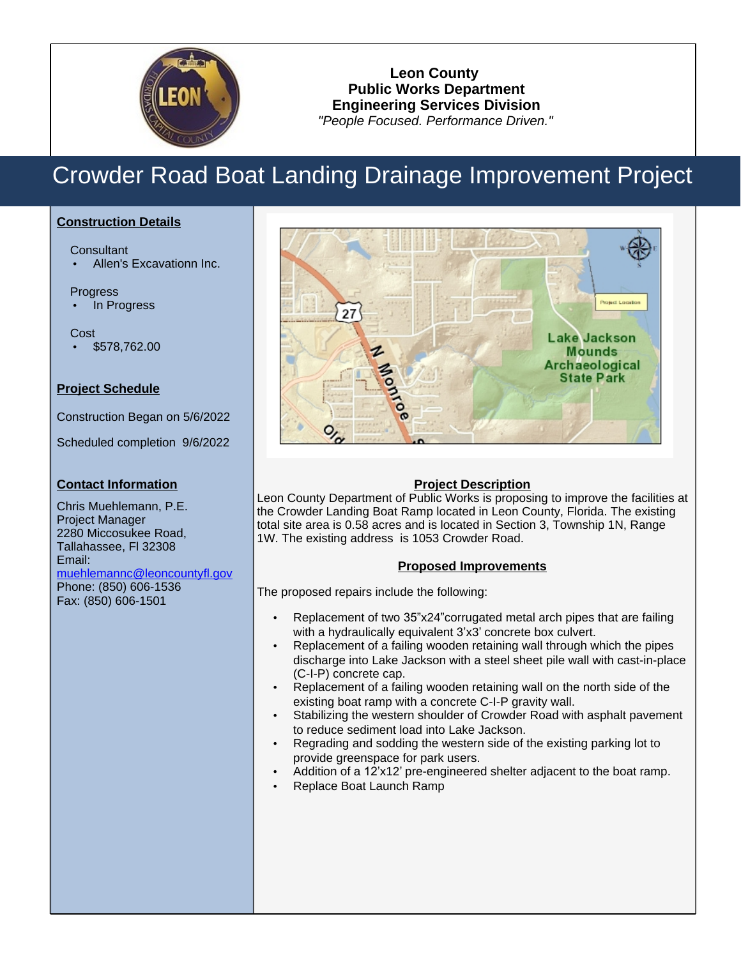

## **Leon County Public Works Department Engineering Services Division** "People Focused. Performance Driven."

# Crowder Road Boat Landing Drainage Improvement Project

### **Construction Details**

Consultant

Allen's Excavationn Inc.

#### Progress

In Progress

Cost \$578,762.00

### **Project Schedule**

Construction Began on 5/6/2022

Scheduled completion 9/6/2022

### **Contact Information**

Chris Muehlemann, P.E. Project Manager 2280 Miccosukee Road, Tallahassee, Fl 32308 Email: muehlemannc@leoncountyfl.gov Phone: (850) 606-1536 Fax: (850) 606-1501



### **Project Description**

Leon County Department of Public Works is proposing to improve the facilities at the Crowder Landing Boat Ramp located in Leon County, Florida. The existing total site area is 0.58 acres and is located in Section 3, Township 1N, Range 1W. The existing address is 1053 Crowder Road.

#### **Proposed Improvements**

The proposed repairs include the following:

- Replacement of two 35"x24" corrugated metal arch pipes that are failing with a hydraulically equivalent 3'x3' concrete box culvert.
- Replacement of a failing wooden retaining wall through which the pipes discharge into Lake Jackson with a steel sheet pile wall with cast-in-place (C-I-P) concrete cap.
- Replacement of a failing wooden retaining wall on the north side of the existing boat ramp with a concrete C-I-P gravity wall.
- Stabilizing the western shoulder of Crowder Road with asphalt pavement to reduce sediment load into Lake Jackson.
- Regrading and sodding the western side of the existing parking lot to provide greenspace for park users.
- Addition of a 12'x12' pre-engineered shelter adjacent to the boat ramp.
- Replace Boat Launch Ramp